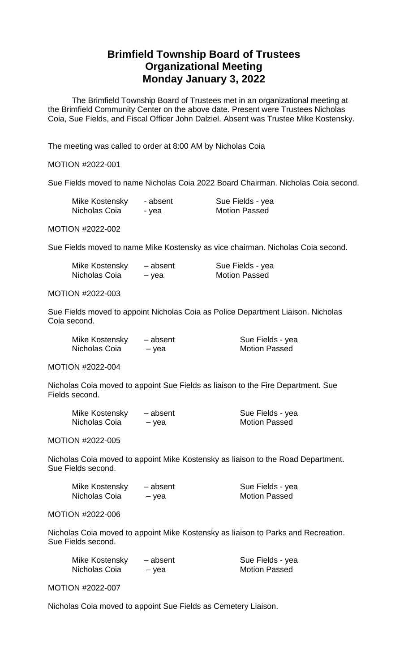# **Brimfield Township Board of Trustees Organizational Meeting Monday January 3, 2022**

The Brimfield Township Board of Trustees met in an organizational meeting at the Brimfield Community Center on the above date. Present were Trustees Nicholas Coia, Sue Fields, and Fiscal Officer John Dalziel. Absent was Trustee Mike Kostensky.

The meeting was called to order at 8:00 AM by Nicholas Coia

## MOTION #2022-001

Sue Fields moved to name Nicholas Coia 2022 Board Chairman. Nicholas Coia second.

| Mike Kostensky | - absent | Sue Fields - yea     |
|----------------|----------|----------------------|
| Nicholas Coia  | - yea    | <b>Motion Passed</b> |

MOTION #2022-002

Sue Fields moved to name Mike Kostensky as vice chairman. Nicholas Coia second.

| Mike Kostensky | - absent | Sue Fields - yea     |
|----------------|----------|----------------------|
| Nicholas Coia  | – yea    | <b>Motion Passed</b> |

### MOTION #2022-003

Sue Fields moved to appoint Nicholas Coia as Police Department Liaison. Nicholas Coia second.

| Mike Kostensky | - absent | Sue Fields - yea     |
|----------------|----------|----------------------|
| Nicholas Coia  | – yea    | <b>Motion Passed</b> |

MOTION #2022-004

Nicholas Coia moved to appoint Sue Fields as liaison to the Fire Department. Sue Fields second.

| Mike Kostensky | - absent | Sue Fields - yea     |
|----------------|----------|----------------------|
| Nicholas Coia  | – yea    | <b>Motion Passed</b> |

MOTION #2022-005

Nicholas Coia moved to appoint Mike Kostensky as liaison to the Road Department. Sue Fields second.

| Mike Kostensky | - absent | Sue Fields - yea     |
|----------------|----------|----------------------|
| Nicholas Coia  | – yea    | <b>Motion Passed</b> |

#### MOTION #2022-006

Nicholas Coia moved to appoint Mike Kostensky as liaison to Parks and Recreation. Sue Fields second.

| Mike Kostensky | - absent | Sue Fields - yea     |
|----------------|----------|----------------------|
| Nicholas Coia  | – yea    | <b>Motion Passed</b> |

MOTION #2022-007

Nicholas Coia moved to appoint Sue Fields as Cemetery Liaison.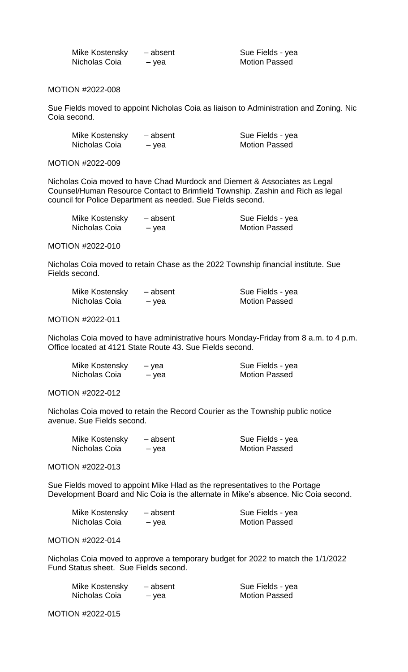| Mike Kostensky | - absent |
|----------------|----------|
| Nicholas Coia  | – yea    |

Sue Fields - yea Motion Passed

## MOTION #2022-008

Sue Fields moved to appoint Nicholas Coia as liaison to Administration and Zoning. Nic Coia second.

| Mike Kostensky | - absent | Sue Fields - yea     |
|----------------|----------|----------------------|
| Nicholas Coia  | – yea    | <b>Motion Passed</b> |

MOTION #2022-009

Nicholas Coia moved to have Chad Murdock and Diemert & Associates as Legal Counsel/Human Resource Contact to Brimfield Township. Zashin and Rich as legal council for Police Department as needed. Sue Fields second.

| Mike Kostensky | - absent | Sue Fields - yea     |
|----------------|----------|----------------------|
| Nicholas Coia  | – yea    | <b>Motion Passed</b> |

#### MOTION #2022-010

Nicholas Coia moved to retain Chase as the 2022 Township financial institute. Sue Fields second.

| Mike Kostensky | - absent | Sue Fields - yea     |
|----------------|----------|----------------------|
| Nicholas Coia  | – vea    | <b>Motion Passed</b> |

### MOTION #2022-011

Nicholas Coia moved to have administrative hours Monday-Friday from 8 a.m. to 4 p.m. Office located at 4121 State Route 43. Sue Fields second.

| Mike Kostensky | – vea | Sue Fields - yea     |
|----------------|-------|----------------------|
| Nicholas Coia  | – yea | <b>Motion Passed</b> |

MOTION #2022-012

Nicholas Coia moved to retain the Record Courier as the Township public notice avenue. Sue Fields second.

| Mike Kostensky | - absent | Sue Fields - yea     |
|----------------|----------|----------------------|
| Nicholas Coia  | – yea    | <b>Motion Passed</b> |

MOTION #2022-013

Sue Fields moved to appoint Mike Hlad as the representatives to the Portage Development Board and Nic Coia is the alternate in Mike's absence. Nic Coia second.

| Mike Kostensky | - absent | Sue Fields - yea     |
|----------------|----------|----------------------|
| Nicholas Coia  | – vea    | <b>Motion Passed</b> |

MOTION #2022-014

Nicholas Coia moved to approve a temporary budget for 2022 to match the 1/1/2022 Fund Status sheet. Sue Fields second.

| Mike Kostensky | - absent | Sue Fields - yea     |
|----------------|----------|----------------------|
| Nicholas Coia  | – vea    | <b>Motion Passed</b> |

MOTION #2022-015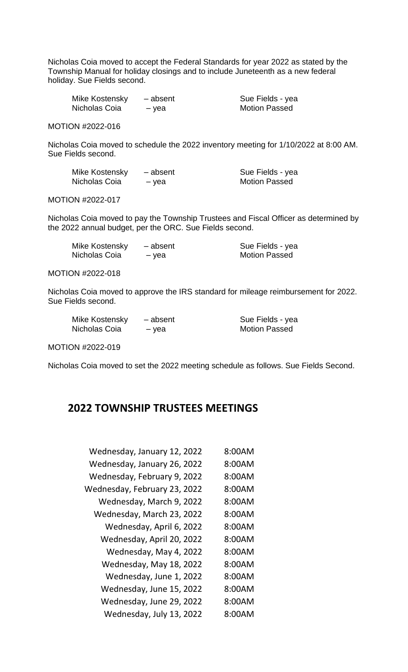Nicholas Coia moved to accept the Federal Standards for year 2022 as stated by the Township Manual for holiday closings and to include Juneteenth as a new federal holiday. Sue Fields second.

| Mike Kostensky | - absent | Sue Fields - yea     |
|----------------|----------|----------------------|
| Nicholas Coia  | – vea    | <b>Motion Passed</b> |

MOTION #2022-016

Nicholas Coia moved to schedule the 2022 inventory meeting for 1/10/2022 at 8:00 AM. Sue Fields second.

| Mike Kostensky | - absent | Sue Fields - yea     |
|----------------|----------|----------------------|
| Nicholas Coia  | – vea    | <b>Motion Passed</b> |

MOTION #2022-017

Nicholas Coia moved to pay the Township Trustees and Fiscal Officer as determined by the 2022 annual budget, per the ORC. Sue Fields second.

| Mike Kostensky | - absent | Sue Fields - yea     |
|----------------|----------|----------------------|
| Nicholas Coia  | – yea    | <b>Motion Passed</b> |

MOTION #2022-018

Nicholas Coia moved to approve the IRS standard for mileage reimbursement for 2022. Sue Fields second.

| Mike Kostensky | - absent | Sue Fields - yea     |
|----------------|----------|----------------------|
| Nicholas Coia  | – vea    | <b>Motion Passed</b> |

MOTION #2022-019

Nicholas Coia moved to set the 2022 meeting schedule as follows. Sue Fields Second.

## **2022 TOWNSHIP TRUSTEES MEETINGS**

| 8:00AM |
|--------|
| 8:00AM |
| 8:00AM |
| 8:00AM |
| 8:00AM |
| 8:00AM |
| 8:00AM |
| 8:00AM |
| 8:00AM |
| 8:00AM |
| 8:00AM |
| 8:00AM |
| 8:00AM |
| 8:00AM |
|        |